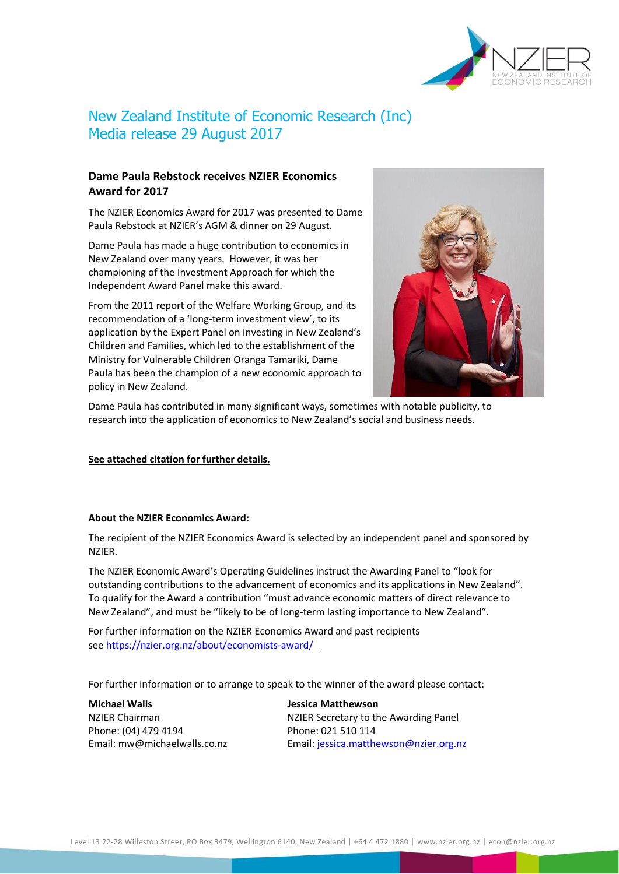

# New Zealand Institute of Economic Research (Inc) Media release 29 August 2017

### **Dame Paula Rebstock receives NZIER Economics Award for 2017**

The NZIER Economics Award for 2017 was presented to Dame Paula Rebstock at NZIER's AGM & dinner on 29 August.

Dame Paula has made a huge contribution to economics in New Zealand over many years. However, it was her championing of the Investment Approach for which the Independent Award Panel make this award.

From the 2011 report of the Welfare Working Group, and its recommendation of a 'long-term investment view', to its application by the Expert Panel on Investing in New Zealand's Children and Families, which led to the establishment of the Ministry for Vulnerable Children Oranga Tamariki, Dame Paula has been the champion of a new economic approach to policy in New Zealand.



Dame Paula has contributed in many significant ways, sometimes with notable publicity, to research into the application of economics to New Zealand's social and business needs.

#### **See attached citation for further details.**

#### **About the NZIER Economics Award:**

The recipient of the NZIER Economics Award is selected by an independent panel and sponsored by NZIER.

The NZIER Economic Award's Operating Guidelines instruct the Awarding Panel to "look for outstanding contributions to the advancement of economics and its applications in New Zealand". To qualify for the Award a contribution "must advance economic matters of direct relevance to New Zealand", and must be "likely to be of long-term lasting importance to New Zealand".

For further information on the NZIER Economics Award and past recipients see [https://nzier.org.nz/about/economists-award/](https://nzier.org.nz/about/economists-award/  ) 

For further information or to arrange to speak to the winner of the award please contact:

**Michael Walls Jessica Matthewson** Phone: (04) 479 4194 Phone: 021 510 114

NZIER Chairman NZIER Secretary to the Awarding Panel Email[: mw@michaelwalls.co.nz](mailto:mw@michaelwalls.co.nz) Email: [jessica.matthewson@nzier.org.nz](mailto:jessica.matthewson@nzier.org.nz)